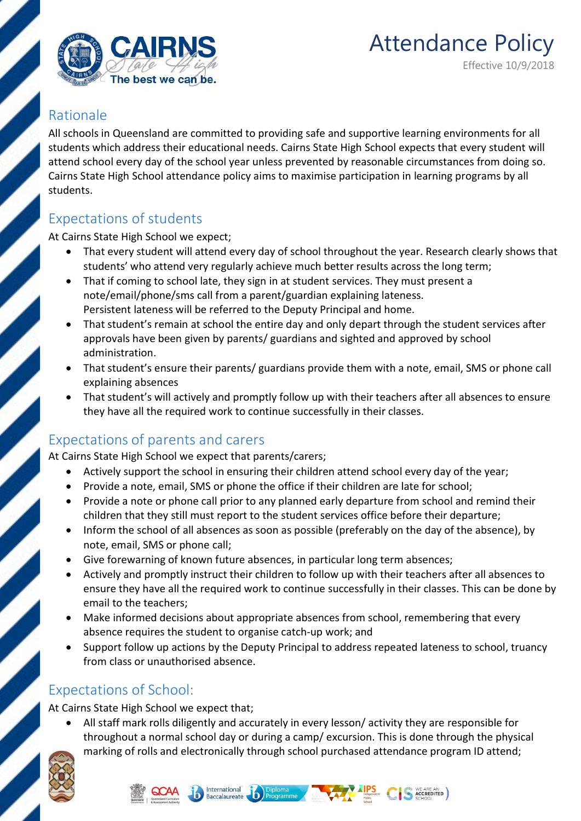

## Rationale

All schools in Queensland are committed to providing safe and supportive learning environments for all students which address their educational needs. Cairns State High School expects that every student will attend school every day of the school year unless prevented by reasonable circumstances from doing so. Cairns State High School attendance policy aims to maximise participation in learning programs by all students.

## Expectations of students

At Cairns State High School we expect;

- That every student will attend every day of school throughout the year. Research clearly shows that students' who attend very regularly achieve much better results across the long term;
- That if coming to school late, they sign in at student services. They must present a note/email/phone/sms call from a parent/guardian explaining lateness. Persistent lateness will be referred to the Deputy Principal and home.
- That student's remain at school the entire day and only depart through the student services after approvals have been given by parents/ guardians and sighted and approved by school administration.
- That student's ensure their parents/ guardians provide them with a note, email, SMS or phone call explaining absences
- That student's will actively and promptly follow up with their teachers after all absences to ensure they have all the required work to continue successfully in their classes.

## Expectations of parents and carers

At Cairns State High School we expect that parents/carers;

- Actively support the school in ensuring their children attend school every day of the year;
- Provide a note, email, SMS or phone the office if their children are late for school;
- Provide a note or phone call prior to any planned early departure from school and remind their children that they still must report to the student services office before their departure;
- Inform the school of all absences as soon as possible (preferably on the day of the absence), by note, email, SMS or phone call;
- Give forewarning of known future absences, in particular long term absences;
- Actively and promptly instruct their children to follow up with their teachers after all absences to ensure they have all the required work to continue successfully in their classes. This can be done by email to the teachers;
- Make informed decisions about appropriate absences from school, remembering that every absence requires the student to organise catch-up work; and
- Support follow up actions by the Deputy Principal to address repeated lateness to school, truancy from class or unauthorised absence.

## Expectations of School:

At Cairns State High School we expect that;

 All staff mark rolls diligently and accurately in every lesson/ activity they are responsible for throughout a normal school day or during a camp/ excursion. This is done through the physical marking of rolls and electronically through school purchased attendance program ID attend;





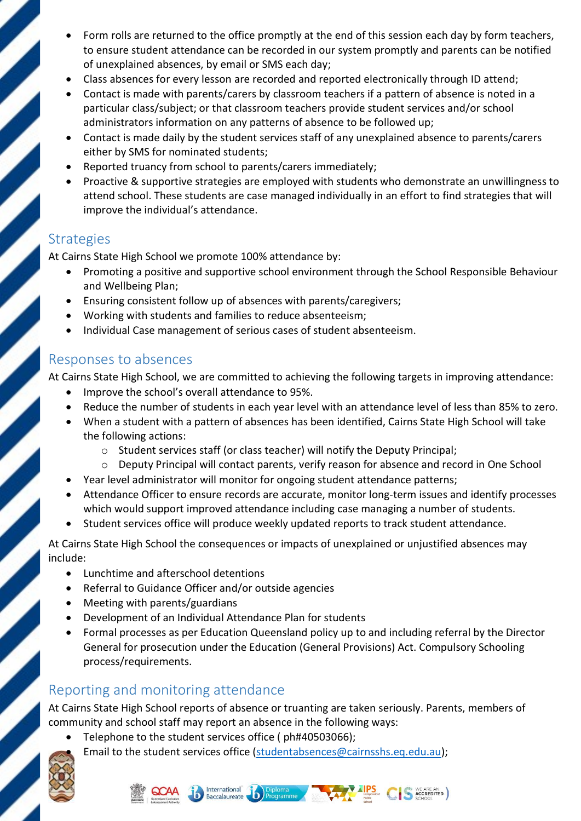- Form rolls are returned to the office promptly at the end of this session each day by form teachers, to ensure student attendance can be recorded in our system promptly and parents can be notified of unexplained absences, by email or SMS each day;
- Class absences for every lesson are recorded and reported electronically through ID attend;
- Contact is made with parents/carers by classroom teachers if a pattern of absence is noted in a particular class/subject; or that classroom teachers provide student services and/or school administrators information on any patterns of absence to be followed up;
- Contact is made daily by the student services staff of any unexplained absence to parents/carers either by SMS for nominated students;
- Reported truancy from school to parents/carers immediately;
- Proactive & supportive strategies are employed with students who demonstrate an unwillingness to attend school. These students are case managed individually in an effort to find strategies that will improve the individual's attendance.

## **Strategies**

At Cairns State High School we promote 100% attendance by:

- Promoting a positive and supportive school environment through the School Responsible Behaviour and Wellbeing Plan;
- Ensuring consistent follow up of absences with parents/caregivers;
- Working with students and families to reduce absenteeism;
- Individual Case management of serious cases of student absenteeism.

#### Responses to absences

At Cairns State High School, we are committed to achieving the following targets in improving attendance:

- Improve the school's overall attendance to 95%.
- Reduce the number of students in each year level with an attendance level of less than 85% to zero.
- When a student with a pattern of absences has been identified, Cairns State High School will take the following actions:
	- o Student services staff (or class teacher) will notify the Deputy Principal;
	- o Deputy Principal will contact parents, verify reason for absence and record in One School
- Year level administrator will monitor for ongoing student attendance patterns;
- Attendance Officer to ensure records are accurate, monitor long-term issues and identify processes which would support improved attendance including case managing a number of students.
- Student services office will produce weekly updated reports to track student attendance.

At Cairns State High School the consequences or impacts of unexplained or unjustified absences may include:

- Lunchtime and afterschool detentions
- Referral to Guidance Officer and/or outside agencies
- Meeting with parents/guardians
- Development of an Individual Attendance Plan for students
- Formal processes as per Education Queensland policy up to and including referral by the Director General for prosecution under the Education (General Provisions) Act. Compulsory Schooling process/requirements.

# Reporting and monitoring attendance

At Cairns State High School reports of absence or truanting are taken seriously. Parents, members of community and school staff may report an absence in the following ways:

Telephone to the student services office ( ph#40503066);

Email to the student services office (studentabsences@cairnsshs.eq.edu.au);